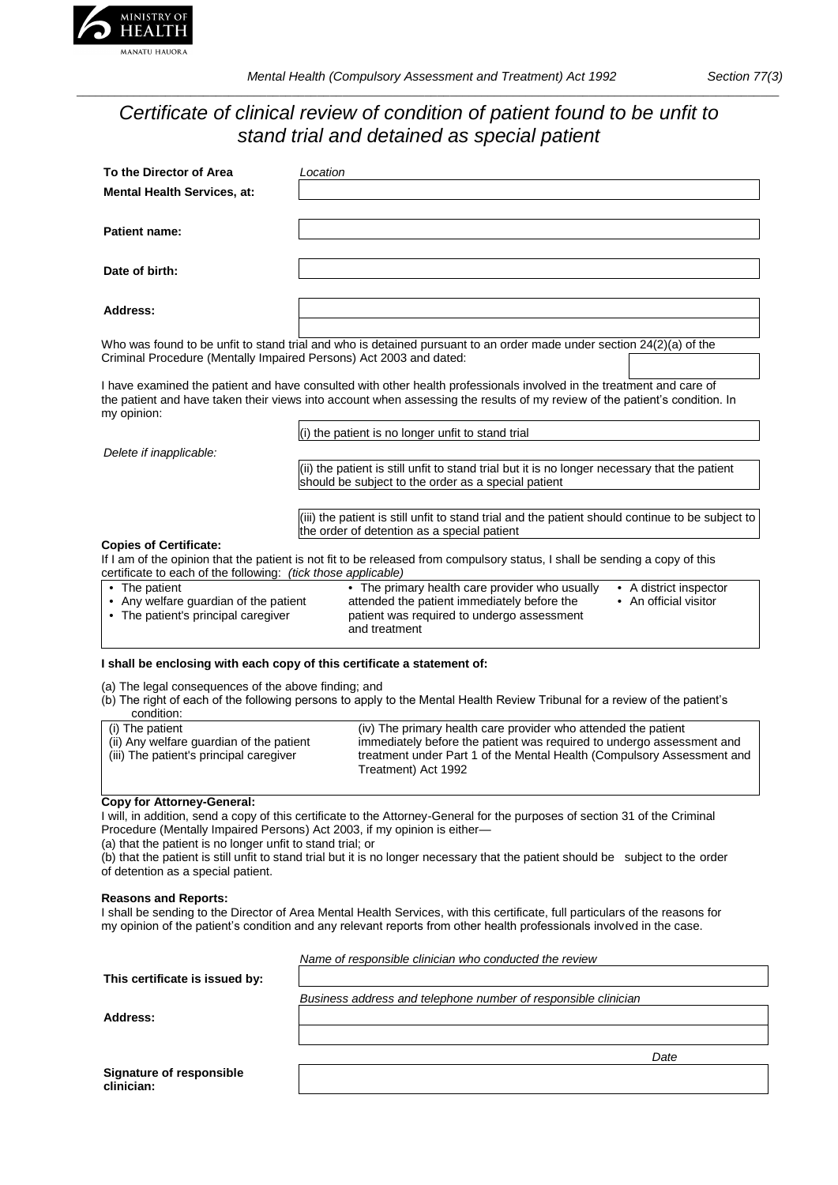

# *Certificate of clinical review of condition of patient found to be unfit to stand trial and detained as special patient*

| To the Director of Area                                                      | Location                                                                                                                                                                                                                                           |  |  |
|------------------------------------------------------------------------------|----------------------------------------------------------------------------------------------------------------------------------------------------------------------------------------------------------------------------------------------------|--|--|
| <b>Mental Health Services, at:</b>                                           |                                                                                                                                                                                                                                                    |  |  |
|                                                                              |                                                                                                                                                                                                                                                    |  |  |
| Patient name:                                                                |                                                                                                                                                                                                                                                    |  |  |
|                                                                              |                                                                                                                                                                                                                                                    |  |  |
| Date of birth:                                                               |                                                                                                                                                                                                                                                    |  |  |
|                                                                              |                                                                                                                                                                                                                                                    |  |  |
| Address:                                                                     |                                                                                                                                                                                                                                                    |  |  |
|                                                                              |                                                                                                                                                                                                                                                    |  |  |
|                                                                              | Who was found to be unfit to stand trial and who is detained pursuant to an order made under section 24(2)(a) of the                                                                                                                               |  |  |
| Criminal Procedure (Mentally Impaired Persons) Act 2003 and dated:           |                                                                                                                                                                                                                                                    |  |  |
|                                                                              |                                                                                                                                                                                                                                                    |  |  |
| my opinion:                                                                  | I have examined the patient and have consulted with other health professionals involved in the treatment and care of<br>the patient and have taken their views into account when assessing the results of my review of the patient's condition. In |  |  |
|                                                                              | (i) the patient is no longer unfit to stand trial                                                                                                                                                                                                  |  |  |
| Delete if inapplicable:                                                      |                                                                                                                                                                                                                                                    |  |  |
|                                                                              | (ii) the patient is still unfit to stand trial but it is no longer necessary that the patient                                                                                                                                                      |  |  |
|                                                                              | should be subject to the order as a special patient                                                                                                                                                                                                |  |  |
|                                                                              |                                                                                                                                                                                                                                                    |  |  |
|                                                                              | (iii) the patient is still unfit to stand trial and the patient should continue to be subject to<br>the order of detention as a special patient                                                                                                    |  |  |
| <b>Copies of Certificate:</b>                                                |                                                                                                                                                                                                                                                    |  |  |
|                                                                              | If I am of the opinion that the patient is not fit to be released from compulsory status, I shall be sending a copy of this                                                                                                                        |  |  |
| certificate to each of the following: (tick those applicable)                |                                                                                                                                                                                                                                                    |  |  |
| • The patient                                                                | • The primary health care provider who usually<br>• A district inspector                                                                                                                                                                           |  |  |
| • Any welfare guardian of the patient<br>• The patient's principal caregiver | attended the patient immediately before the<br>• An official visitor<br>patient was required to undergo assessment                                                                                                                                 |  |  |
|                                                                              | and treatment                                                                                                                                                                                                                                      |  |  |

#### **I shall be enclosing with each copy of this certificate a statement of:**

(a) The legal consequences of the above finding; and

|            | (b) The right of each of the following persons to apply to the Mental Health Review Tribunal for a review of the patient's |  |  |  |
|------------|----------------------------------------------------------------------------------------------------------------------------|--|--|--|
| condition: |                                                                                                                            |  |  |  |

| (i) The patient                          | (iv) The primary health care provider who attended the patient         |
|------------------------------------------|------------------------------------------------------------------------|
| (ii) Any welfare guardian of the patient | immediately before the patient was required to undergo assessment and  |
| (iii) The patient's principal caregiver  | treatment under Part 1 of the Mental Health (Compulsory Assessment and |
|                                          | Treatment) Act 1992                                                    |

## **Copy for Attorney-General:**

I will, in addition, send a copy of this certificate to the Attorney-General for the purposes of section 31 of the Criminal Procedure (Mentally Impaired Persons) Act 2003, if my opinion is either—

(a) that the patient is no longer unfit to stand trial; or

(b) that the patient is still unfit to stand trial but it is no longer necessary that the patient should be subject to the order of detention as a special patient.

## **Reasons and Reports:**

I shall be sending to the Director of Area Mental Health Services, with this certificate, full particulars of the reasons for my opinion of the patient's condition and any relevant reports from other health professionals involved in the case.

*Name of responsible clinician who conducted the review*

**Address:**

*Business address and telephone number of responsible clinician*

*Date*

| Signature of responsible |  |
|--------------------------|--|
| clinician:               |  |

**This certificate is issued by:**